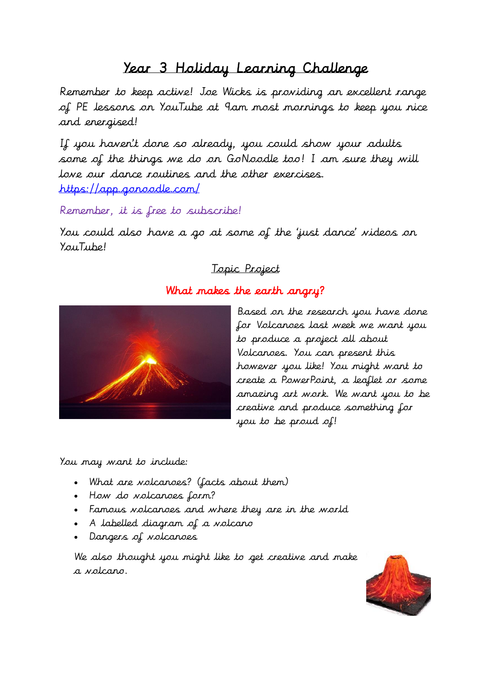## Year 3 Holiday Learning Challenge

Remember to keep active! Joe Wicks is providing an excellent range of PE lessons on YouTube at 9am most mornings to keep you nice and energised!

If you haven't done so already, you could show your adults some of the things we do on GoNoodle too! I am sure they will love our dance routines and the other exercises. <https://app.gonoodle.com/>

Remember, it is free to subscribe!

You could also have a go at some of the 'just dance' videos on YouTube!

## Topic Project

## What makes the earth angry?



Based on the research you have done for Volcanoes last week we want you to produce a project all about Volcanoes. You can present this however you like! You might want to create a PowerPoint, a leaflet or some amazing art work. We want you to be creative and produce something for you to be proud of!

You may want to include:

- What are volcanoes? (facts about them)
- How do volcanoes form?
- Famous volcanoes and where they are in the world
- A labelled diagram of a volcano
- Dangers of volcanoes

We also thought you might like to get creative and make a volcano.